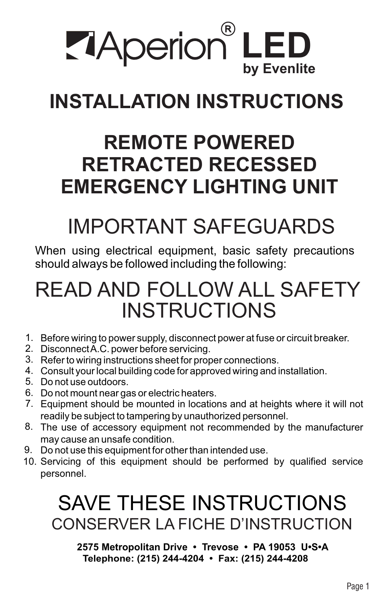

# **INSTALLATION INSTRUCTIONS**

## **REMOTE POWERED RETRACTED RECESSED EMERGENCY LIGHTING UNIT**

# IMPORTANT SAFEGUARDS

When using electrical equipment, basic safety precautions should always be followed including the following:

## READ AND FOLLOW ALL SAFETY INSTRUCTIONS

- 1. Before wiring to power supply, disconnect power at fuse or circuit breaker.
- 2. Disconnect A.C. power before servicing.
- 3. Refer to wiring instructions sheet for proper connections.
- Consult your local building code for approved wiring and installation. 4.
- 5. Do not use outdoors.
- 6. Do not mount near gas or electric heaters.
- 7. Equipment should be mounted in locations and at heights where it will not readily be subject to tampering by unauthorized personnel.
- The use of accessory equipment not recommended by the manufacturer 8. may cause an unsafe condition.
- Do not use this equipment for other than intended use. 9.
- 10. Servicing of this equipment should be performed by qualified service personnel.

## SAVE THESE INSTRUCTIONS CONSERVER LA FICHE D'INSTRUCTION

**2575 Metropolitan Drive • Trevose • PA 19053 U•S•A Telephone: (215) 244-4204 • Fax: (215) 244-4208**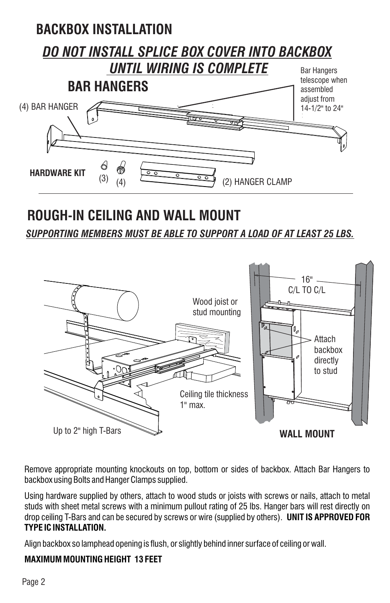

## **ROUGH-IN CEILING AND WALL MOUNT**

*SUPPORTING MEMBERS MUST BE ABLE TO SUPPORT A LOAD OF AT LEAST 25 LBS.*



Remove appropriate mounting knockouts on top, bottom or sides of backbox. Attach Bar Hangers to backbox using Bolts and Hanger Clamps supplied.

Using hardware supplied by others, attach to wood studs or joists with screws or nails, attach to metal studs with sheet metal screws with a minimum pullout rating of 25 lbs. Hanger bars will rest directly on drop ceiling T-Bars and can be secured by screws or wire (supplied by others). **UNIT IS APPROVED FOR TYPE IC INSTALLATION.**

Align backbox so lamphead opening is flush, or slightly behind inner surface of ceiling or wall.

#### **MAXIMUM MOUNTING HEIGHT 13 FEET**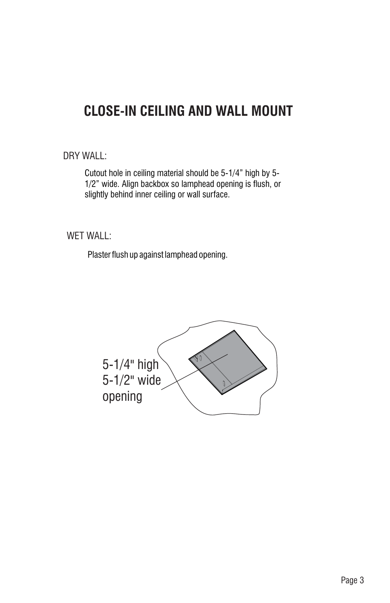### **CLOSE-IN CEILING AND WALL MOUNT**

DRY WALL:

Cutout hole in ceiling material should be 5-1/4" high by 5- 1/2" wide. Align backbox so lamphead opening is flush, or slightly behind inner ceiling or wall surface.

WET WALL:

Plaster flush up against lamphead opening.

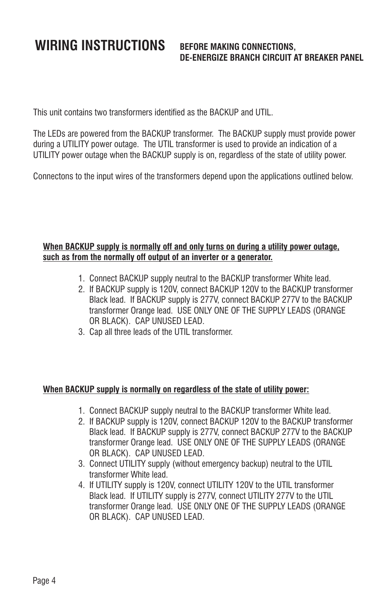## **WIRING INSTRUCTIONS BEFORE MAKING CONNECTIONS,**

## **DE-ENERGIZE BRANCH CIRCUIT AT BREAKER PANEL**

This unit contains two transformers identified as the BACKUP and UTIL.

The LEDs are powered from the BACKUP transformer. The BACKUP supply must provide power during a UTILITY power outage. The UTIL transformer is used to provide an indication of a UTILITY power outage when the BACKUP supply is on, regardless of the state of utility power.

Connectons to the input wires of the transformers depend upon the applications outlined below.

#### **When BACKUP supply is normally off and only turns on during a utility power outage, such as from the normally off output of an inverter or a generator.**

- 1. Connect BACKUP supply neutral to the BACKUP transformer White lead.
- 2. If BACKUP supply is 120V, connect BACKUP 120V to the BACKUP transformer Black lead. If BACKUP supply is 277V, connect BACKUP 277V to the BACKUP transformer Orange lead. USE ONLY ONE OF THE SUPPLY LEADS (ORANGE OR BLACK). CAP UNUSED LEAD.
- 3. Cap all three leads of the UTIL transformer.

#### **When BACKUP supply is normally on regardless of the state of utility power:**

- 1. Connect BACKUP supply neutral to the BACKUP transformer White lead.
- 2. If BACKUP supply is 120V, connect BACKUP 120V to the BACKUP transformer Black lead. If BACKUP supply is 277V, connect BACKUP 277V to the BACKUP transformer Orange lead. USE ONLY ONE OF THE SUPPLY LEADS (ORANGE OR BLACK). CAP UNUSED LEAD.
- 3. Connect UTILITY supply (without emergency backup) neutral to the UTIL transformer White lead.
- 4. If UTILITY supply is 120V, connect UTILITY 120V to the UTIL transformer Black lead. If UTILITY supply is 277V, connect UTILITY 277V to the UTIL transformer Orange lead. USE ONLY ONE OF THE SUPPLY LEADS (ORANGE OR BLACK). CAP UNUSED LEAD.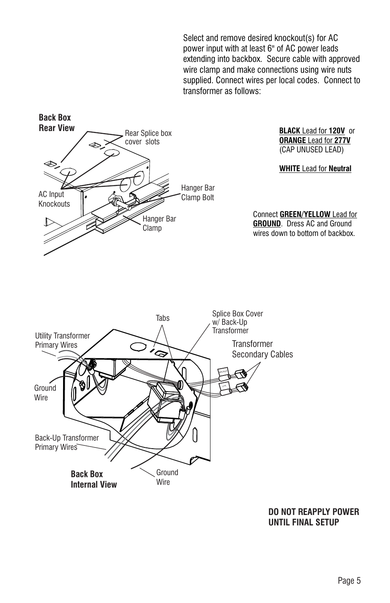Select and remove desired knockout(s) for AC power input with at least 6" of AC power leads extending into backbox. Secure cable with approved wire clamp and make connections using wire nuts supplied. Connect wires per local codes. Connect to transformer as follows:



**BLACK** Lead for **120V** or **ORANGE** Lead for **277V** (CAP UNUSED LEAD)

**WHITE** Lead for **Neutral**

Connect **GREEN/YELLOW** Lead for **GROUND**. Dress AC and Ground wires down to bottom of backbox.



**DO NOT REAPPLY POWER UNTIL FINAL SETUP**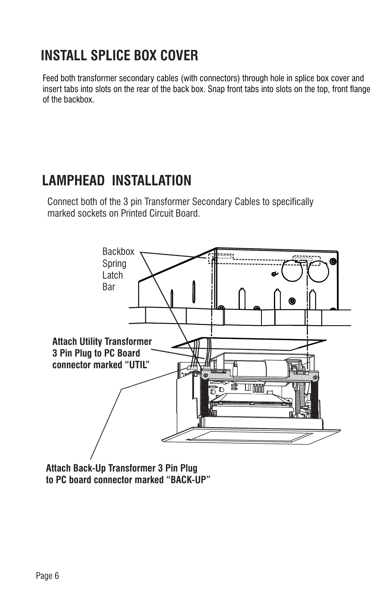## **INSTALL SPLICE BOX COVER**

Feed both transformer secondary cables (with connectors) through hole in splice box cover and insert tabs into slots on the rear of the back box. Snap front tabs into slots on the top, front flange of the backbox.

### **LAMPHEAD INSTALLATION**

Connect both of the 3 pin Transformer Secondary Cables to specifically marked sockets on Printed Circuit Board.



**Attach Back-Up Transformer 3 Pin Plug to PC board connector marked "BACK-UP"**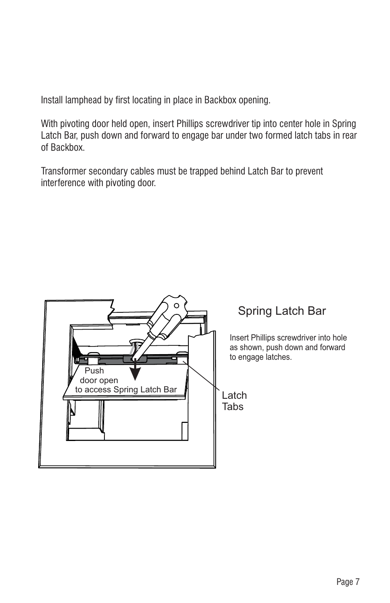Install lamphead by first locating in place in Backbox opening.

With pivoting door held open, insert Phillips screwdriver tip into center hole in Spring Latch Bar, push down and forward to engage bar under two formed latch tabs in rear of Backbox.

Transformer secondary cables must be trapped behind Latch Bar to prevent interference with pivoting door.



### Spring Latch Bar

Insert Phillips screwdriver into hole as shown, push down and forward to engage latches.

Latch Tabs